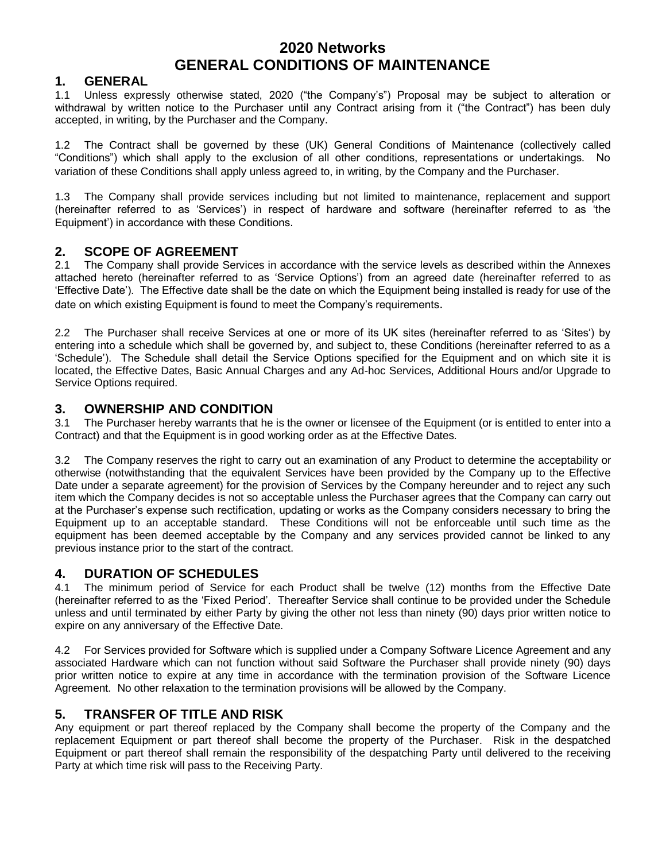# **2020 Networks GENERAL CONDITIONS OF MAINTENANCE**

### **1. GENERAL**

1.1 Unless expressly otherwise stated, 2020 ("the Company"s") Proposal may be subject to alteration or withdrawal by written notice to the Purchaser until any Contract arising from it ("the Contract") has been duly accepted, in writing, by the Purchaser and the Company.

1.2 The Contract shall be governed by these (UK) General Conditions of Maintenance (collectively called "Conditions") which shall apply to the exclusion of all other conditions, representations or undertakings. No variation of these Conditions shall apply unless agreed to, in writing, by the Company and the Purchaser.

1.3 The Company shall provide services including but not limited to maintenance, replacement and support (hereinafter referred to as "Services") in respect of hardware and software (hereinafter referred to as "the Equipment") in accordance with these Conditions.

## **2. SCOPE OF AGREEMENT**

2.1 The Company shall provide Services in accordance with the service levels as described within the Annexes attached hereto (hereinafter referred to as "Service Options") from an agreed date (hereinafter referred to as "Effective Date"). The Effective date shall be the date on which the Equipment being installed is ready for use of the date on which existing Equipment is found to meet the Company's requirements.

2.2 The Purchaser shall receive Services at one or more of its UK sites (hereinafter referred to as "Sites") by entering into a schedule which shall be governed by, and subject to, these Conditions (hereinafter referred to as a "Schedule"). The Schedule shall detail the Service Options specified for the Equipment and on which site it is located, the Effective Dates, Basic Annual Charges and any Ad-hoc Services, Additional Hours and/or Upgrade to Service Options required.

## **3. OWNERSHIP AND CONDITION**

3.1 The Purchaser hereby warrants that he is the owner or licensee of the Equipment (or is entitled to enter into a Contract) and that the Equipment is in good working order as at the Effective Dates.

3.2 The Company reserves the right to carry out an examination of any Product to determine the acceptability or otherwise (notwithstanding that the equivalent Services have been provided by the Company up to the Effective Date under a separate agreement) for the provision of Services by the Company hereunder and to reject any such item which the Company decides is not so acceptable unless the Purchaser agrees that the Company can carry out at the Purchaser"s expense such rectification, updating or works as the Company considers necessary to bring the Equipment up to an acceptable standard. These Conditions will not be enforceable until such time as the equipment has been deemed acceptable by the Company and any services provided cannot be linked to any previous instance prior to the start of the contract.

# **4. DURATION OF SCHEDULES**

4.1 The minimum period of Service for each Product shall be twelve (12) months from the Effective Date (hereinafter referred to as the "Fixed Period". Thereafter Service shall continue to be provided under the Schedule unless and until terminated by either Party by giving the other not less than ninety (90) days prior written notice to expire on any anniversary of the Effective Date.

4.2 For Services provided for Software which is supplied under a Company Software Licence Agreement and any associated Hardware which can not function without said Software the Purchaser shall provide ninety (90) days prior written notice to expire at any time in accordance with the termination provision of the Software Licence Agreement. No other relaxation to the termination provisions will be allowed by the Company.

# **5. TRANSFER OF TITLE AND RISK**

Any equipment or part thereof replaced by the Company shall become the property of the Company and the replacement Equipment or part thereof shall become the property of the Purchaser. Risk in the despatched Equipment or part thereof shall remain the responsibility of the despatching Party until delivered to the receiving Party at which time risk will pass to the Receiving Party.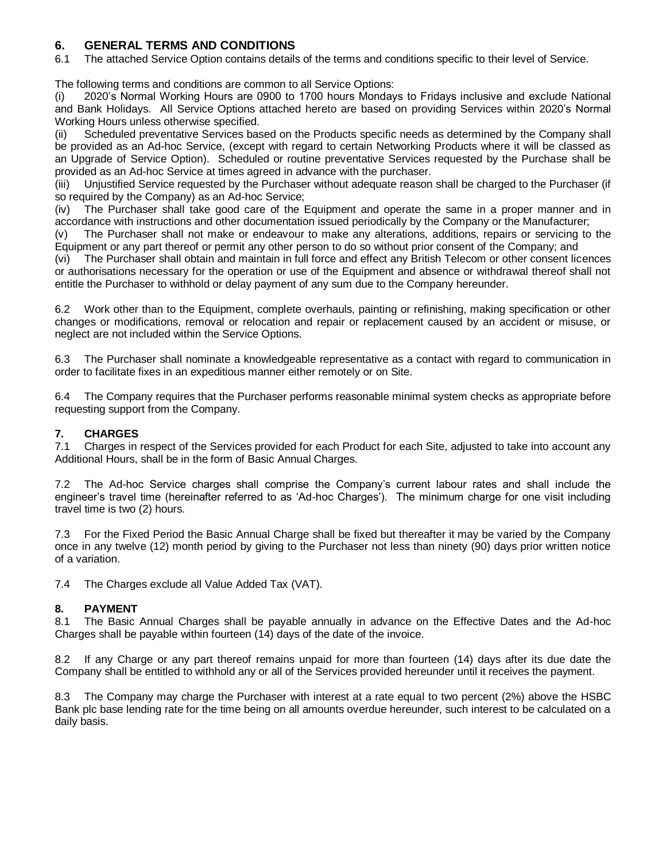### **6. GENERAL TERMS AND CONDITIONS**

6.1 The attached Service Option contains details of the terms and conditions specific to their level of Service.

The following terms and conditions are common to all Service Options:

2020's Normal Working Hours are 0900 to 1700 hours Mondays to Fridays inclusive and exclude National and Bank Holidays. All Service Options attached hereto are based on providing Services within 2020"s Normal Working Hours unless otherwise specified.

(ii) Scheduled preventative Services based on the Products specific needs as determined by the Company shall be provided as an Ad-hoc Service, (except with regard to certain Networking Products where it will be classed as an Upgrade of Service Option). Scheduled or routine preventative Services requested by the Purchase shall be provided as an Ad-hoc Service at times agreed in advance with the purchaser.

(iii) Unjustified Service requested by the Purchaser without adequate reason shall be charged to the Purchaser (if so required by the Company) as an Ad-hoc Service;

(iv) The Purchaser shall take good care of the Equipment and operate the same in a proper manner and in accordance with instructions and other documentation issued periodically by the Company or the Manufacturer;

(v) The Purchaser shall not make or endeavour to make any alterations, additions, repairs or servicing to the Equipment or any part thereof or permit any other person to do so without prior consent of the Company; and

(vi) The Purchaser shall obtain and maintain in full force and effect any British Telecom or other consent licences or authorisations necessary for the operation or use of the Equipment and absence or withdrawal thereof shall not entitle the Purchaser to withhold or delay payment of any sum due to the Company hereunder.

6.2 Work other than to the Equipment, complete overhauls, painting or refinishing, making specification or other changes or modifications, removal or relocation and repair or replacement caused by an accident or misuse, or neglect are not included within the Service Options.

6.3 The Purchaser shall nominate a knowledgeable representative as a contact with regard to communication in order to facilitate fixes in an expeditious manner either remotely or on Site.

6.4 The Company requires that the Purchaser performs reasonable minimal system checks as appropriate before requesting support from the Company.

### **7. CHARGES**

7.1 Charges in respect of the Services provided for each Product for each Site, adjusted to take into account any Additional Hours, shall be in the form of Basic Annual Charges.

7.2 The Ad-hoc Service charges shall comprise the Company"s current labour rates and shall include the engineer"s travel time (hereinafter referred to as "Ad-hoc Charges"). The minimum charge for one visit including travel time is two (2) hours.

7.3 For the Fixed Period the Basic Annual Charge shall be fixed but thereafter it may be varied by the Company once in any twelve (12) month period by giving to the Purchaser not less than ninety (90) days prior written notice of a variation.

7.4 The Charges exclude all Value Added Tax (VAT).

#### **8. PAYMENT**

8.1 The Basic Annual Charges shall be payable annually in advance on the Effective Dates and the Ad-hoc Charges shall be payable within fourteen (14) days of the date of the invoice.

8.2 If any Charge or any part thereof remains unpaid for more than fourteen (14) days after its due date the Company shall be entitled to withhold any or all of the Services provided hereunder until it receives the payment.

8.3 The Company may charge the Purchaser with interest at a rate equal to two percent (2%) above the HSBC Bank plc base lending rate for the time being on all amounts overdue hereunder, such interest to be calculated on a daily basis.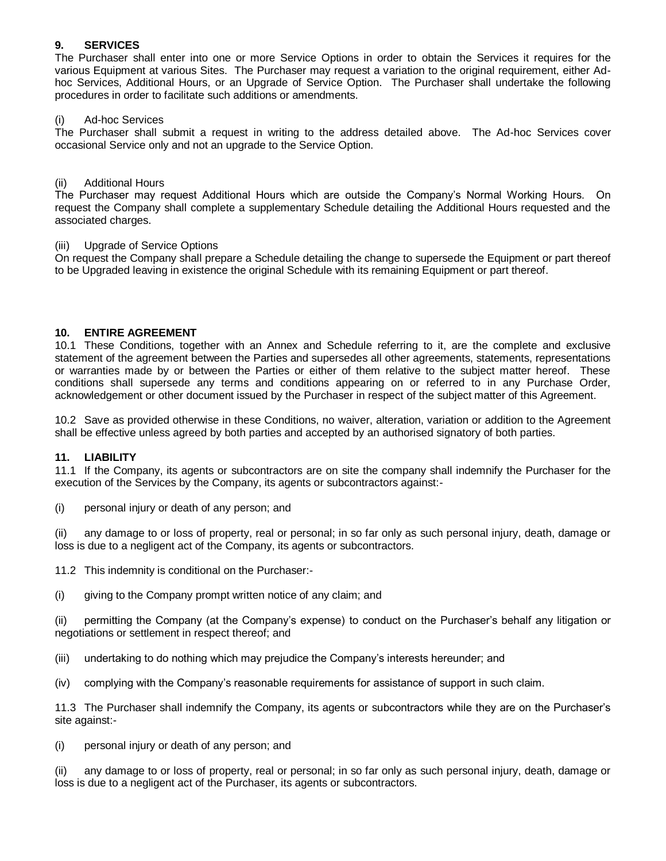#### **9. SERVICES**

The Purchaser shall enter into one or more Service Options in order to obtain the Services it requires for the various Equipment at various Sites. The Purchaser may request a variation to the original requirement, either Adhoc Services, Additional Hours, or an Upgrade of Service Option. The Purchaser shall undertake the following procedures in order to facilitate such additions or amendments.

#### (i) Ad-hoc Services

The Purchaser shall submit a request in writing to the address detailed above. The Ad-hoc Services cover occasional Service only and not an upgrade to the Service Option.

#### (ii) Additional Hours

The Purchaser may request Additional Hours which are outside the Company"s Normal Working Hours. On request the Company shall complete a supplementary Schedule detailing the Additional Hours requested and the associated charges.

#### (iii) Upgrade of Service Options

On request the Company shall prepare a Schedule detailing the change to supersede the Equipment or part thereof to be Upgraded leaving in existence the original Schedule with its remaining Equipment or part thereof.

#### **10. ENTIRE AGREEMENT**

10.1 These Conditions, together with an Annex and Schedule referring to it, are the complete and exclusive statement of the agreement between the Parties and supersedes all other agreements, statements, representations or warranties made by or between the Parties or either of them relative to the subject matter hereof. These conditions shall supersede any terms and conditions appearing on or referred to in any Purchase Order, acknowledgement or other document issued by the Purchaser in respect of the subject matter of this Agreement.

10.2 Save as provided otherwise in these Conditions, no waiver, alteration, variation or addition to the Agreement shall be effective unless agreed by both parties and accepted by an authorised signatory of both parties.

#### **11. LIABILITY**

11.1 If the Company, its agents or subcontractors are on site the company shall indemnify the Purchaser for the execution of the Services by the Company, its agents or subcontractors against:-

(i) personal injury or death of any person; and

(ii) any damage to or loss of property, real or personal; in so far only as such personal injury, death, damage or loss is due to a negligent act of the Company, its agents or subcontractors.

11.2 This indemnity is conditional on the Purchaser:-

(i) giving to the Company prompt written notice of any claim; and

(ii) permitting the Company (at the Company"s expense) to conduct on the Purchaser"s behalf any litigation or negotiations or settlement in respect thereof; and

- (iii) undertaking to do nothing which may prejudice the Company"s interests hereunder; and
- (iv) complying with the Company"s reasonable requirements for assistance of support in such claim.

11.3 The Purchaser shall indemnify the Company, its agents or subcontractors while they are on the Purchaser"s site against:-

(i) personal injury or death of any person; and

(ii) any damage to or loss of property, real or personal; in so far only as such personal injury, death, damage or loss is due to a negligent act of the Purchaser, its agents or subcontractors.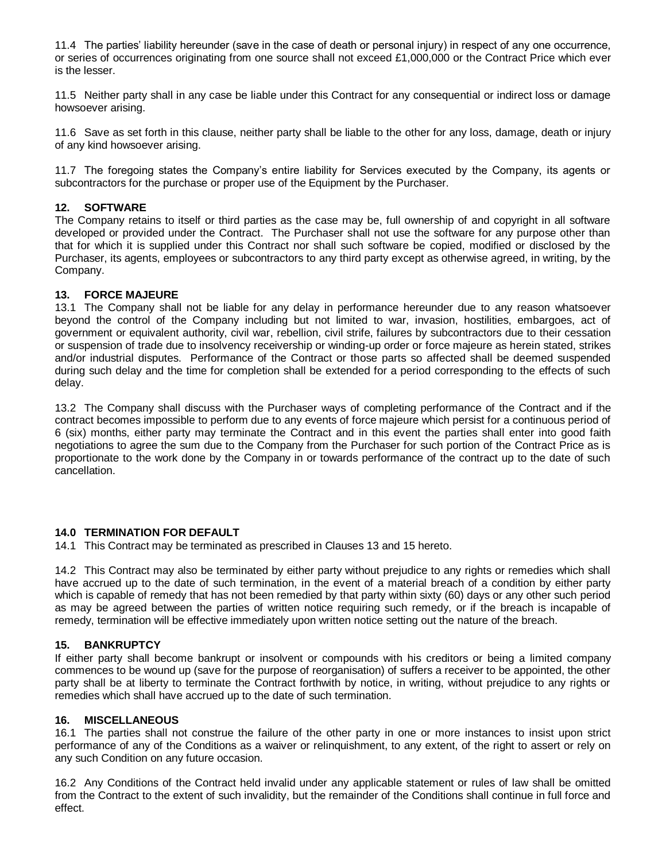11.4 The parties" liability hereunder (save in the case of death or personal injury) in respect of any one occurrence, or series of occurrences originating from one source shall not exceed £1,000,000 or the Contract Price which ever is the lesser.

11.5 Neither party shall in any case be liable under this Contract for any consequential or indirect loss or damage howsoever arising.

11.6 Save as set forth in this clause, neither party shall be liable to the other for any loss, damage, death or injury of any kind howsoever arising.

11.7 The foregoing states the Company"s entire liability for Services executed by the Company, its agents or subcontractors for the purchase or proper use of the Equipment by the Purchaser.

#### **12. SOFTWARE**

The Company retains to itself or third parties as the case may be, full ownership of and copyright in all software developed or provided under the Contract. The Purchaser shall not use the software for any purpose other than that for which it is supplied under this Contract nor shall such software be copied, modified or disclosed by the Purchaser, its agents, employees or subcontractors to any third party except as otherwise agreed, in writing, by the Company.

#### **13. FORCE MAJEURE**

13.1 The Company shall not be liable for any delay in performance hereunder due to any reason whatsoever beyond the control of the Company including but not limited to war, invasion, hostilities, embargoes, act of government or equivalent authority, civil war, rebellion, civil strife, failures by subcontractors due to their cessation or suspension of trade due to insolvency receivership or winding-up order or force majeure as herein stated, strikes and/or industrial disputes. Performance of the Contract or those parts so affected shall be deemed suspended during such delay and the time for completion shall be extended for a period corresponding to the effects of such delay.

13.2 The Company shall discuss with the Purchaser ways of completing performance of the Contract and if the contract becomes impossible to perform due to any events of force majeure which persist for a continuous period of 6 (six) months, either party may terminate the Contract and in this event the parties shall enter into good faith negotiations to agree the sum due to the Company from the Purchaser for such portion of the Contract Price as is proportionate to the work done by the Company in or towards performance of the contract up to the date of such cancellation.

#### **14.0 TERMINATION FOR DEFAULT**

14.1 This Contract may be terminated as prescribed in Clauses 13 and 15 hereto.

14.2 This Contract may also be terminated by either party without prejudice to any rights or remedies which shall have accrued up to the date of such termination, in the event of a material breach of a condition by either party which is capable of remedy that has not been remedied by that party within sixty (60) days or any other such period as may be agreed between the parties of written notice requiring such remedy, or if the breach is incapable of remedy, termination will be effective immediately upon written notice setting out the nature of the breach.

#### **15. BANKRUPTCY**

If either party shall become bankrupt or insolvent or compounds with his creditors or being a limited company commences to be wound up (save for the purpose of reorganisation) of suffers a receiver to be appointed, the other party shall be at liberty to terminate the Contract forthwith by notice, in writing, without prejudice to any rights or remedies which shall have accrued up to the date of such termination.

#### **16. MISCELLANEOUS**

16.1 The parties shall not construe the failure of the other party in one or more instances to insist upon strict performance of any of the Conditions as a waiver or relinquishment, to any extent, of the right to assert or rely on any such Condition on any future occasion.

16.2 Any Conditions of the Contract held invalid under any applicable statement or rules of law shall be omitted from the Contract to the extent of such invalidity, but the remainder of the Conditions shall continue in full force and effect.